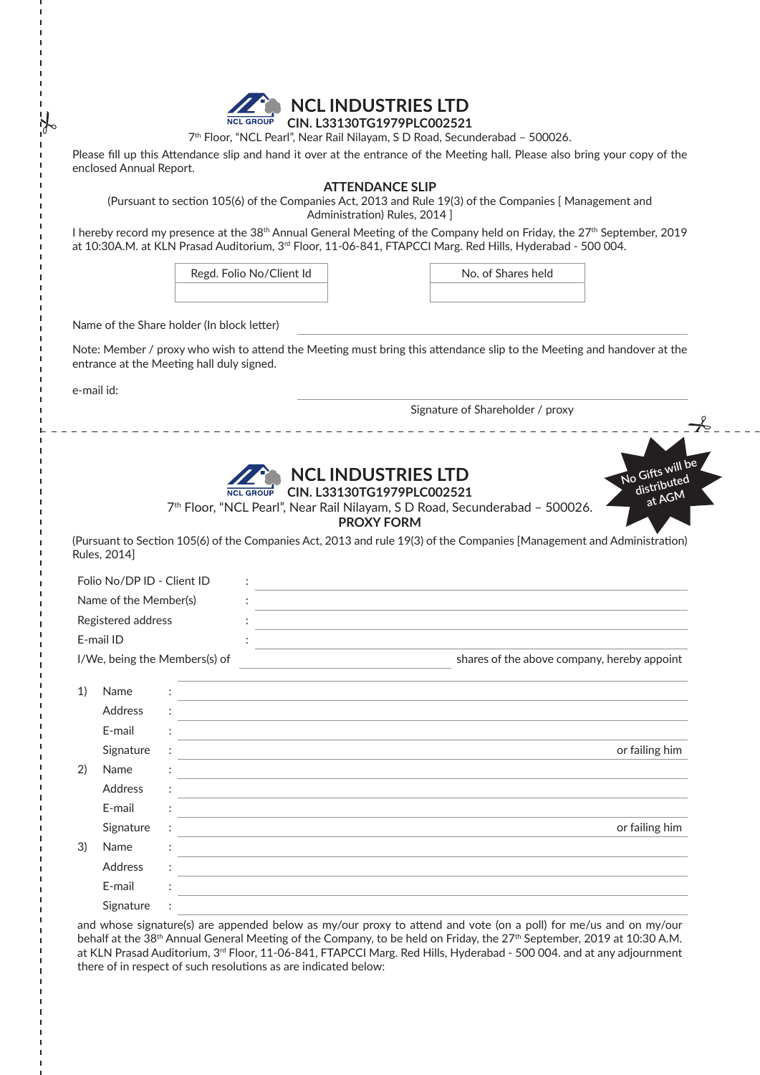

## **NCL INDUSTRIES LTD CIN. L33130TG1979PLC002521**

7<sup>th</sup> Floor, "NCL Pearl", Near Rail Nilayam, S D Road, Secunderabad - 500026.

Please fill up this Attendance slip and hand it over at the entrance of the Meeting hall. Please also bring your copy of the enclosed Annual Report.

### **ATTENDANCE SLIP**

(Pursuant to section 105(6) of the Companies Act, 2013 and Rule 19(3) of the Companies [ Management and Administration) Rules, 2014 ]

I hereby record my presence at the 38<sup>th</sup> Annual General Meeting of the Company held on Friday, the 27<sup>th</sup> September, 2019 at 10:30A.M. at KLN Prasad Auditorium, 3<sup>rd</sup> Floor, 11-06-841, FTAPCCI Marg. Red Hills, Hyderabad - 500 004.

Regd. Folio No/Client Id No. of Shares held

Name of the Share holder (In block letter)

Note: Member / proxy who wish to attend the Meeting must bring this attendance slip to the Meeting and handover at the entrance at the Meeting hall duly signed.

e-mail id:

Signature of Shareholder / proxy



# **NCL INDUSTRIES LTD RCL GROUP** CIN. L33130TG1979PLC002521



7<sup>th</sup> Floor, "NCL Pearl", Near Rail Nilayam, S D Road, Secunderabad - 500026.

**PROXY FORM**

(Pursuant to Section 105(6) of the Companies Act, 2013 and rule 19(3) of the Companies [Management and Administration) Rules, 2014]

| Folio No/DP ID - Client ID    |                |   |                                                                            |  |                                                                                                                  |  |  |                |
|-------------------------------|----------------|---|----------------------------------------------------------------------------|--|------------------------------------------------------------------------------------------------------------------|--|--|----------------|
| Name of the Member(s)         |                |   |                                                                            |  |                                                                                                                  |  |  |                |
| Registered address            |                |   |                                                                            |  |                                                                                                                  |  |  |                |
| E-mail ID                     |                |   |                                                                            |  |                                                                                                                  |  |  |                |
| I/We, being the Members(s) of |                |   | the control of the control of the control of the control of the control of |  | shares of the above company, hereby appoint                                                                      |  |  |                |
| 1)                            | Name           |   |                                                                            |  | and the control of the control of the control of the control of the control of the control of the control of the |  |  |                |
|                               | <b>Address</b> |   |                                                                            |  |                                                                                                                  |  |  |                |
|                               | E-mail         |   |                                                                            |  |                                                                                                                  |  |  |                |
|                               | Signature      | ÷ |                                                                            |  |                                                                                                                  |  |  | or failing him |
| 2)                            | Name           |   |                                                                            |  |                                                                                                                  |  |  |                |
|                               | <b>Address</b> |   |                                                                            |  |                                                                                                                  |  |  |                |
|                               | E-mail         |   |                                                                            |  |                                                                                                                  |  |  |                |
|                               | Signature      |   |                                                                            |  | and the control of the control of the control of the control of the control of the control of the control of the |  |  | or failing him |
| 3)                            | Name           |   |                                                                            |  |                                                                                                                  |  |  |                |
|                               | <b>Address</b> |   |                                                                            |  |                                                                                                                  |  |  |                |
|                               | E-mail         |   |                                                                            |  |                                                                                                                  |  |  |                |
|                               | Signature      |   |                                                                            |  |                                                                                                                  |  |  |                |
|                               |                |   |                                                                            |  |                                                                                                                  |  |  |                |

and whose signature(s) are appended below as my/our proxy to attend and vote (on a poll) for me/us and on my/our behalf at the 38<sup>th</sup> Annual General Meeting of the Company, to be held on Friday, the 27<sup>th</sup> September, 2019 at 10:30 A.M. at KLN Prasad Auditorium, 3<sup>rd</sup> Floor, 11-06-841, FTAPCCI Marg. Red Hills, Hyderabad - 500 004. and at any adjournment there of in respect of such resolutions as are indicated below: